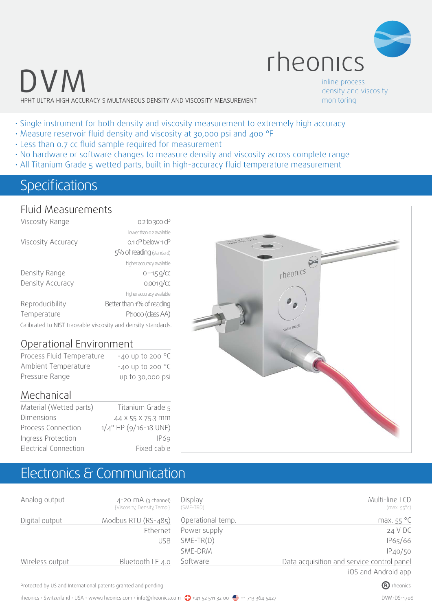

## DVM HPHT ULTRA HIGH ACCURACY SIMULTANEOUS DENSITY AND VISCOSITY MEASUREMENT

inline process density and viscosity monitoring

- Single instrument for both density and viscosity measurement to extremely high accuracy • Measure reservoir fluid density and viscosity at 30,000 psi and 400 °F
- Less than 0.7 cc fluid sample required for measurement
- No hardware or software changes to measure density and viscosity across complete range
- All Titanium Grade 5 wetted parts, built in high-accuracy fluid temperature measurement

### Specifications

#### Fluid Measurements

| Viscosity Range                                               | 0.2 to 300 cP             |  |  |  |
|---------------------------------------------------------------|---------------------------|--|--|--|
|                                                               | lower than 0.2 available  |  |  |  |
| Viscosity Accuracy                                            | $0.1$ cP below $1$ cP     |  |  |  |
|                                                               | 5% of reading (standard)  |  |  |  |
|                                                               | higher accuracy available |  |  |  |
| Density Range                                                 | $0 - 1.5$ g/cc            |  |  |  |
| Density Accuracy                                              | $0.001$ g/cc              |  |  |  |
|                                                               | higher accuracy available |  |  |  |
| Reproducibility                                               | Better than 1% of reading |  |  |  |
| Temperature                                                   | Pt1000 (class AA)         |  |  |  |
| Calibrated to NIST traceable viscosity and density standards. |                           |  |  |  |

#### Operational Environment

| Process Fluid Temperature | $-40$ up to 200 $^{\circ}$ C |
|---------------------------|------------------------------|
| Ambient Temperature       | $-40$ up to 200 $^{\circ}$ C |
| Pressure Range            | up to 30,000 psi             |

#### Mechanical

| Material (Wetted parts) | Titanium Grade 5         |
|-------------------------|--------------------------|
| <b>Dimensions</b>       | 44 X 55 X 75.3 MM        |
| Process Connection      | $1/4$ " HP (9/16-18 UNF) |
| Ingress Protection      | <b>IP69</b>              |
| Electrical Connection   | Fixed cable              |



### Electronics & Communication

| Analog output   | $4-20$ MA (3 channel)<br>{Viscosity, Density, Temp.} | Display<br>(SME-TRD) | Multi-line LCD<br>$(max.55^{\circ}c)$      |
|-----------------|------------------------------------------------------|----------------------|--------------------------------------------|
|                 |                                                      |                      |                                            |
| Digital output  | Modbus RTU (RS-485)                                  | Operational temp.    | max. $55^{\circ}$ C                        |
|                 | Ethernet                                             | Power supply         | 24 V DC                                    |
|                 | <b>USB</b>                                           | $SME-TR(D)$          | IP65/66                                    |
|                 |                                                      | SME-DRM              | IP40/50                                    |
| Wireless output | Bluetooth LE 4.0                                     | Software             | Data acquisition and service control panel |
|                 |                                                      |                      | iOS and Android app                        |

Protected by US and International patents granted and pending  $\bullet$  rheonics rheonics rheonics rheonics rheonics rheonics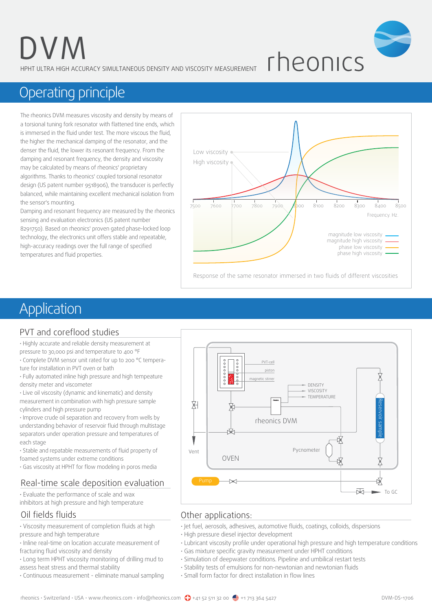HPHT ULTRA HIGH ACCURACY SIMULTANEOUS DENSITY AND VISCOSITY MEASUREMENT



## Operating principle

The rheonics DVM measures viscosity and density by means of a torsional tuning fork resonator with flattened tine ends, which is immersed in the fluid under test. The more viscous the fluid, the higher the mechanical damping of the resonator, and the denser the fluid, the lower its resonant frequency. From the damping and resonant frequency, the density and viscosity may be calculated by means of rheonics' proprietary algorithms. Thanks to rheonics' coupled torsional resonator design (US patent number 9518906), the transducer is perfectly balanced, while maintaining excellent mechanical isolation from the sensor's mounting.

Damping and resonant frequency are measured by the rheonics sensing and evaluation electronics (US patent number 8291750). Based on rheonics' proven gated phase-locked loop technology, the electronics unit offers stable and repeatable, high-accuracy readings over the full range of specified temperatures and fluid properties.



## Application

#### PVT and coreflood studies

• Highly accurate and reliable density measurement at pressure to 30,000 psi and temperature to 400 °F

- Complete DVM sensor unit rated for up to 200 °C temperature for installation in PVT oven or bath
- Fully automated inline high pressure and high tempeature density meter and viscometer

• Live oil viscosity (dynamic and kinematic) and density measurement in combination with high pressure sample

cylinders and high pressure pump

• Improve crude oil separation and recovery from wells by understanding behavior of reservoir fluid through multistage separators under operation pressure and temperatures of each stage

• Stable and repatable measurements of fluid property of foamed systems under extreme conditions

• Gas viscosity at HPHT for flow modeling in poros media

#### Real-time scale deposition evaluation

• Evaluate the performance of scale and wax inhibitors at high pressure and high temperature

#### Oil fields fluids

• Viscosity measurement of completion fluids at high pressure and high temperature

• Inline real-time on location accurate measurement of fracturing fluid viscosity and density

• Long term HPHT viscosity monitoring of drilling mud to assess heat stress and thermal stability

• Continuous measurement - eliminate manual sampling



#### Other applications:

- Jet fuel, aerosols, adhesives, automotive fluids, coatings, colloids, dispersions
- High pressure diesel injector development
- Lubricant viscosity profile under operational high pressure and high temperature conditions
- Gas mixture specific gravity measurement under HPHT conditions
- Simulation of deepwater conditions. Pipeline and umbilical restart tests
- Stability tests of emulsions for non-newtonian and newtonian fluids
- Small form factor for direct installation in flow lines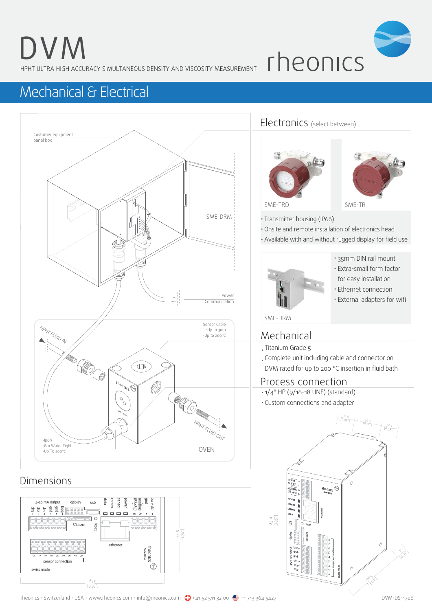HPHT ULTRA HIGH ACCURACY SIMULTANEOUS DENSITY AND VISCOSITY MEASUREMENT

rheonics

## Mechanical & Electrical



85.0 [3.35"]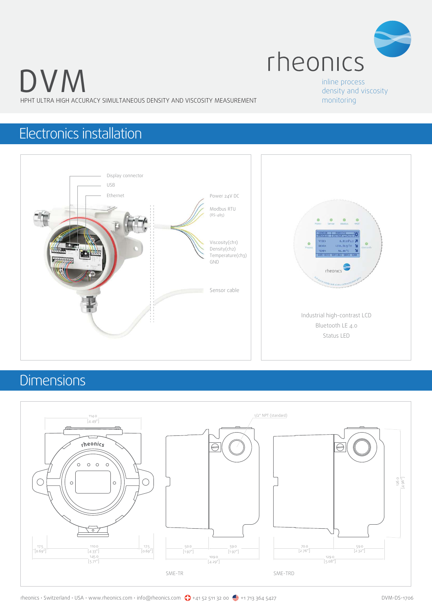

HPHT ULTRA HIGH ACCURACY SIMULTANEOUS DENSITY AND VISCOSITY MEASUREMENT

inline process density and viscosity monitoring

## Electronics installation



### Dimensions

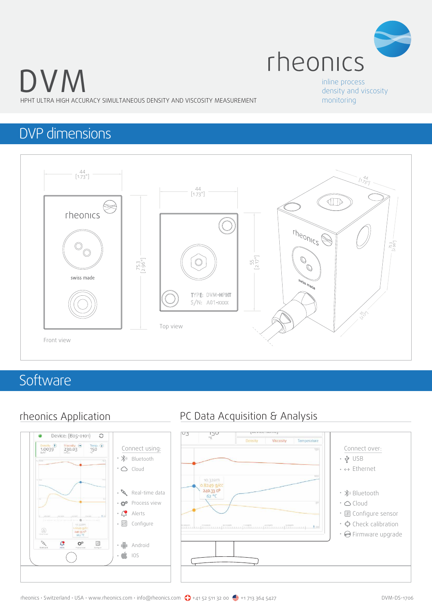

HPHT ULTRA HIGH ACCURACY SIMULTANEOUS DENSITY AND VISCOSITY MEASUREMENT

#### inline process density and viscosity monitoring

### DVP dimensions



### **Software**



#### rheonics Application PC Data Acquisition & Analysis